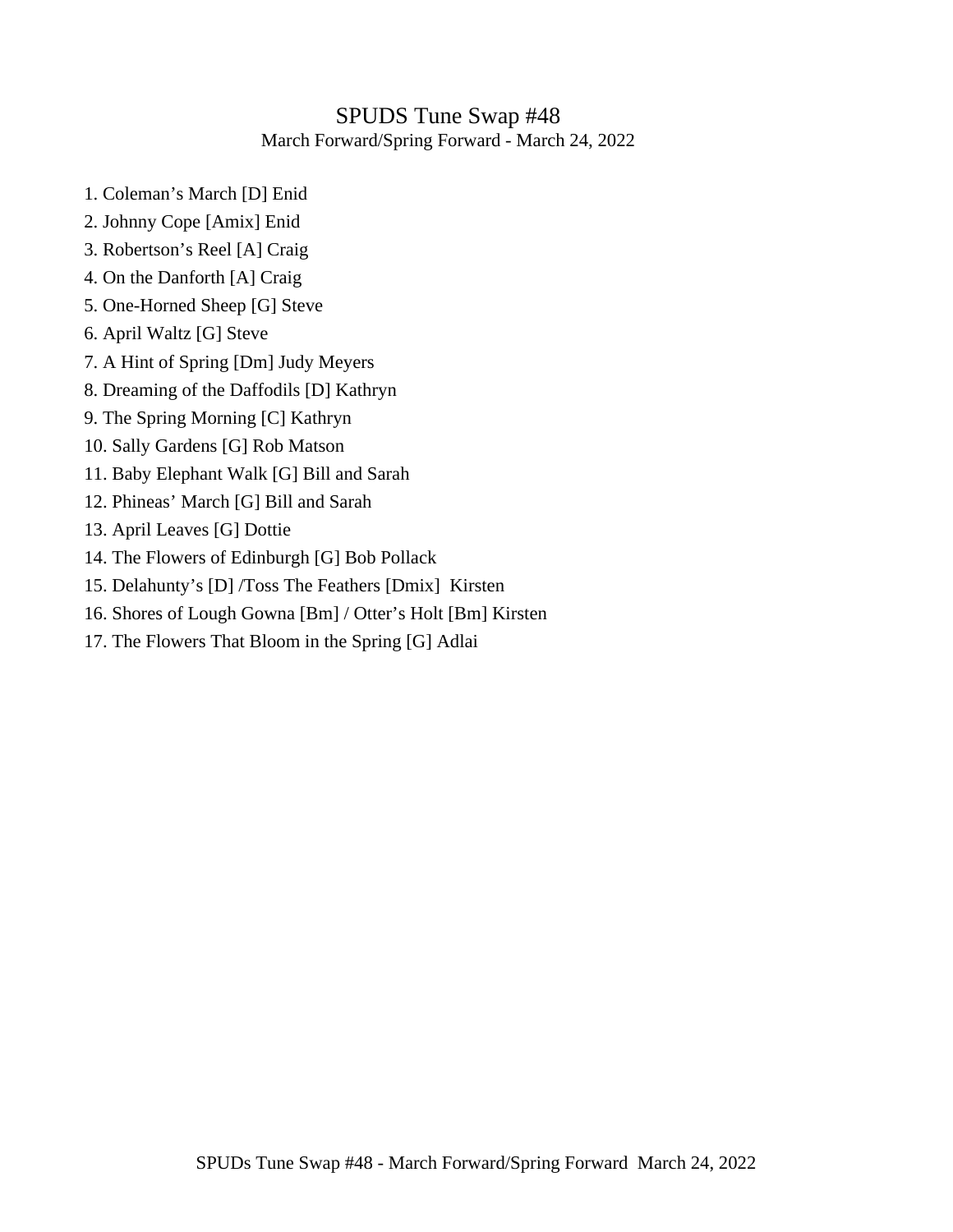## SPUDS Tune Swap #48 March Forward/Spring Forward - March 24, 2022

- 1. Coleman's March [D] Enid
- 2. Johnny Cope [Amix] Enid
- 3. Robertson's Reel [A] Craig
- 4. On the Danforth [A] Craig
- 5. One-Horned Sheep [G] Steve
- 6. April Waltz [G] Steve
- 7. A Hint of Spring [Dm] Judy Meyers
- 8. Dreaming of the Daffodils [D] Kathryn
- 9. The Spring Morning [C] Kathryn
- 10. Sally Gardens [G] Rob Matson
- 11. Baby Elephant Walk [G] Bill and Sarah
- 12. Phineas' March [G] Bill and Sarah
- 13. April Leaves [G] Dottie
- 14. The Flowers of Edinburgh [G] Bob Pollack
- 15. Delahunty's [D] /Toss The Feathers [Dmix] Kirsten
- 16. Shores of Lough Gowna [Bm] / Otter's Holt [Bm] Kirsten
- 17. The Flowers That Bloom in the Spring [G] Adlai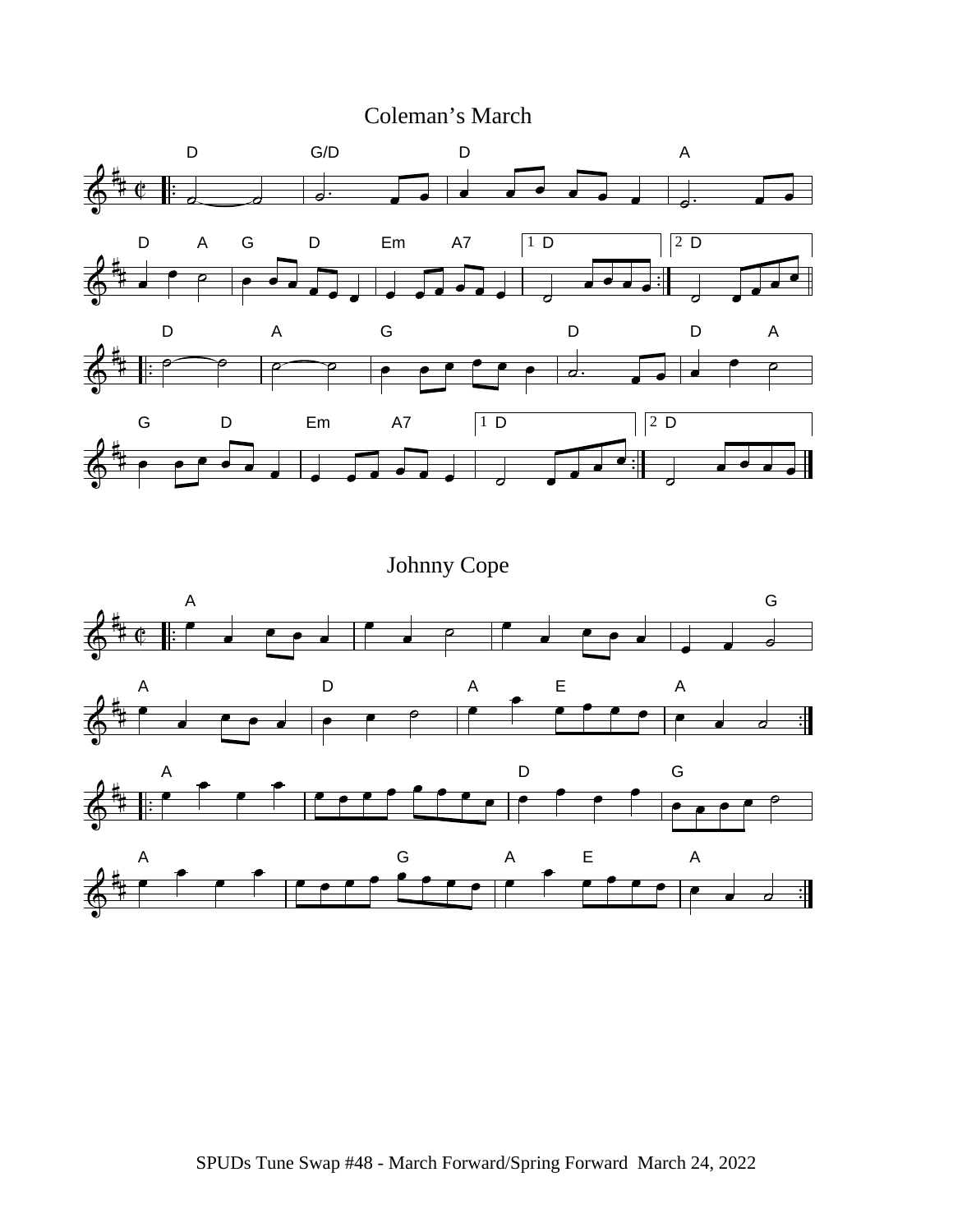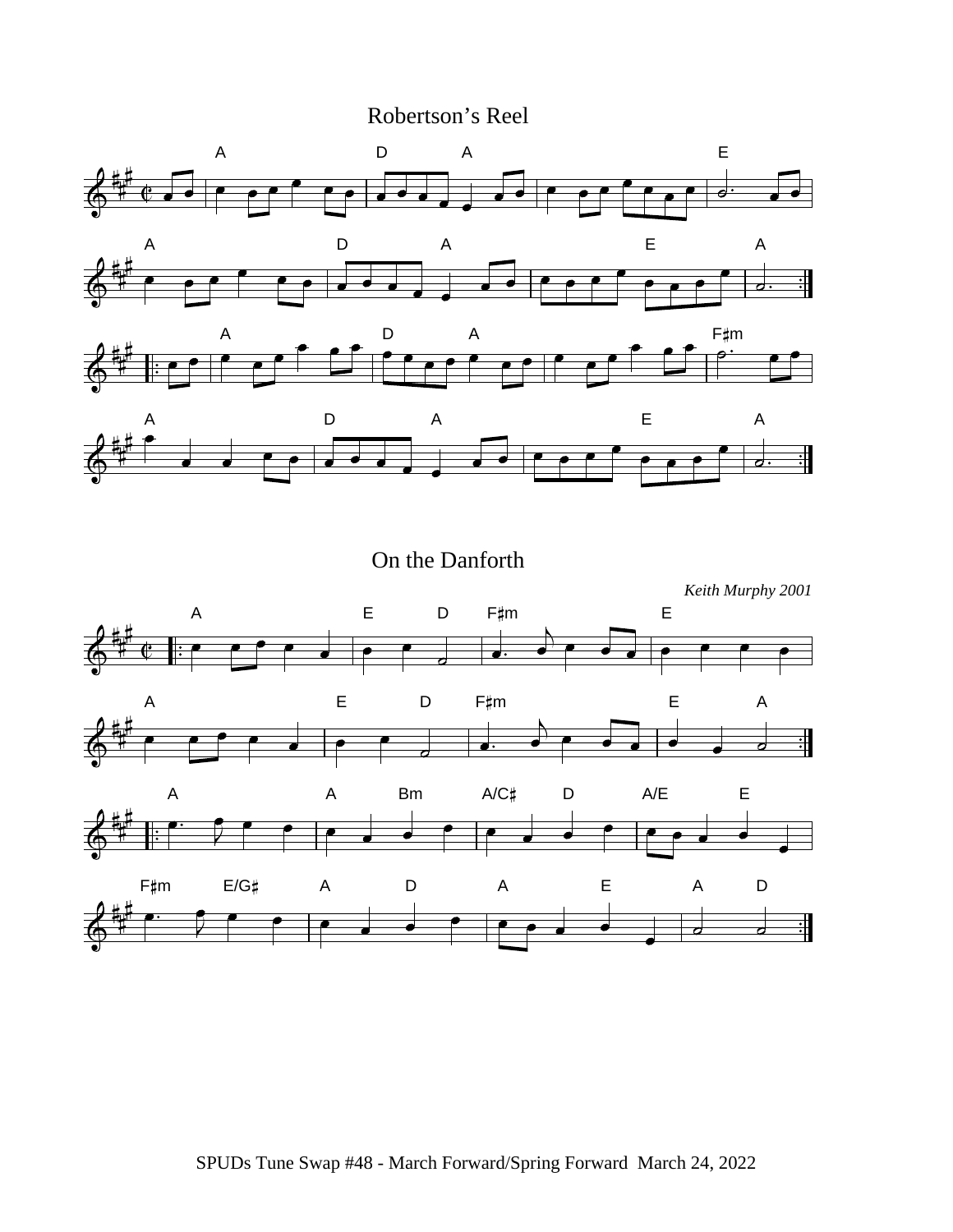Robertson's Reel



On the Danforth

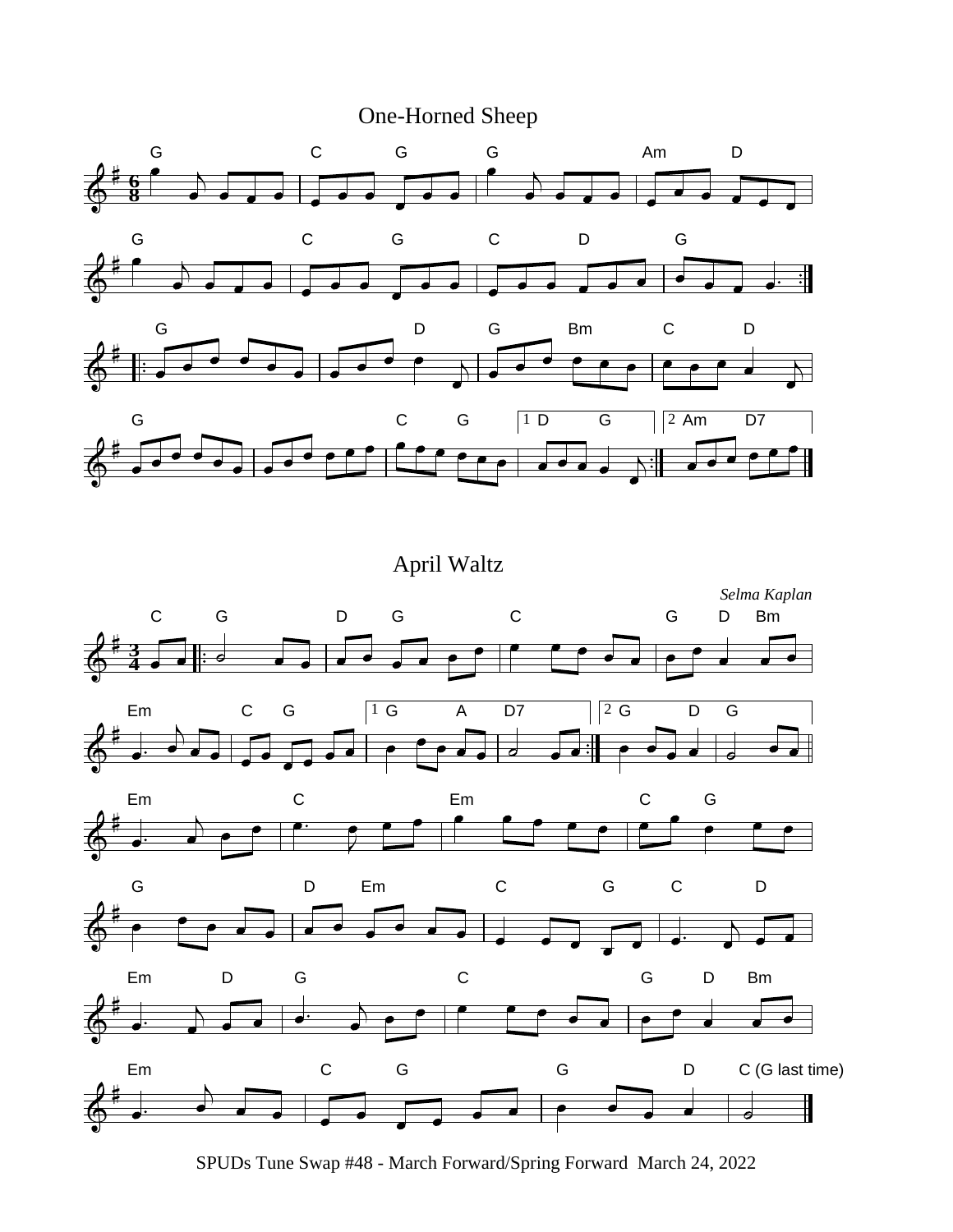



April Waltz



SPUDs Tune Swap #48 - March Forward/Spring Forward March 24, 2022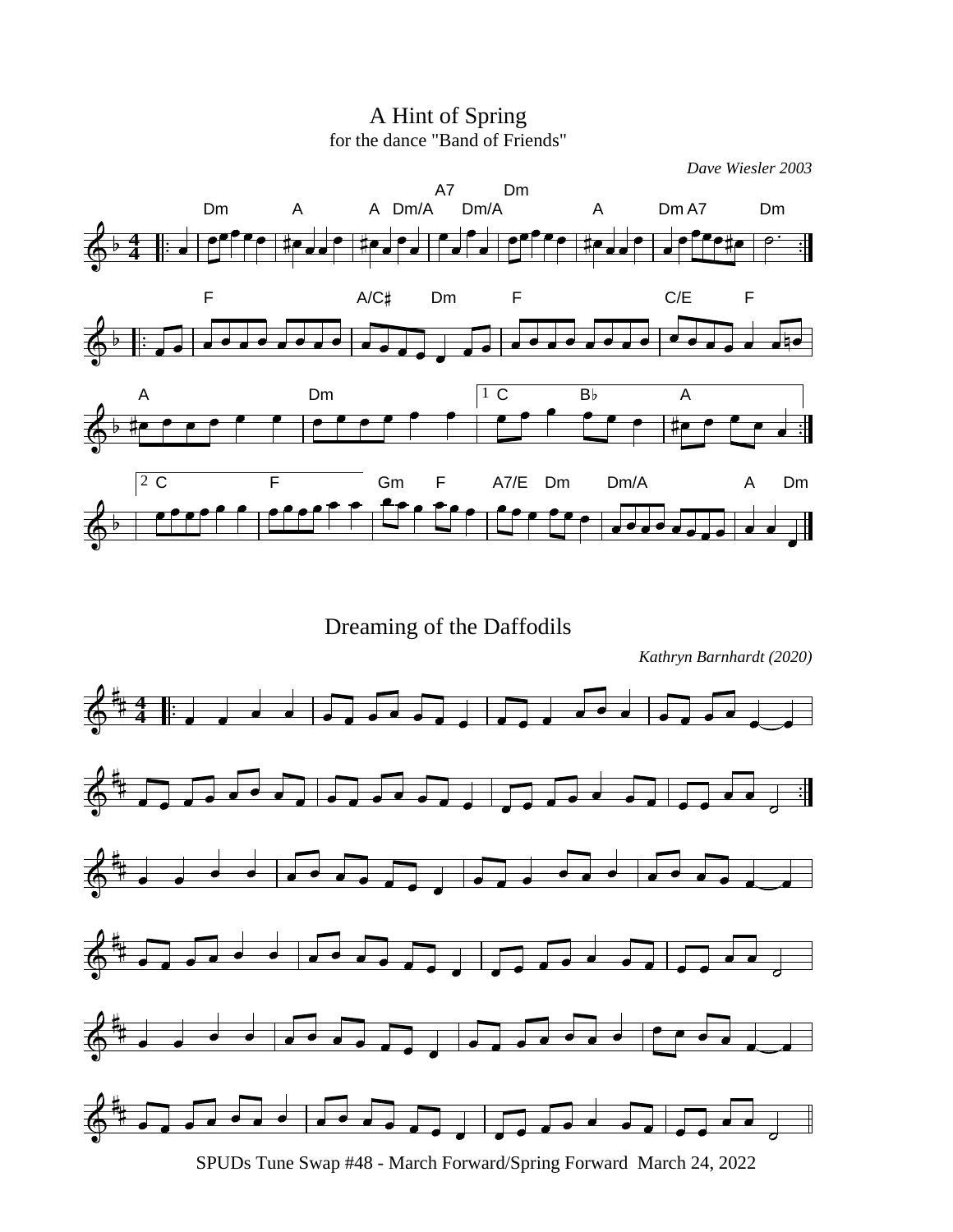A Hint of Spring for the dance "Band of Friends"



Dreaming of the Daffodils

*Kathryn Barnhardt (2020)*



SPUDs Tune Swap #48 - March Forward/Spring Forward March 24, 2022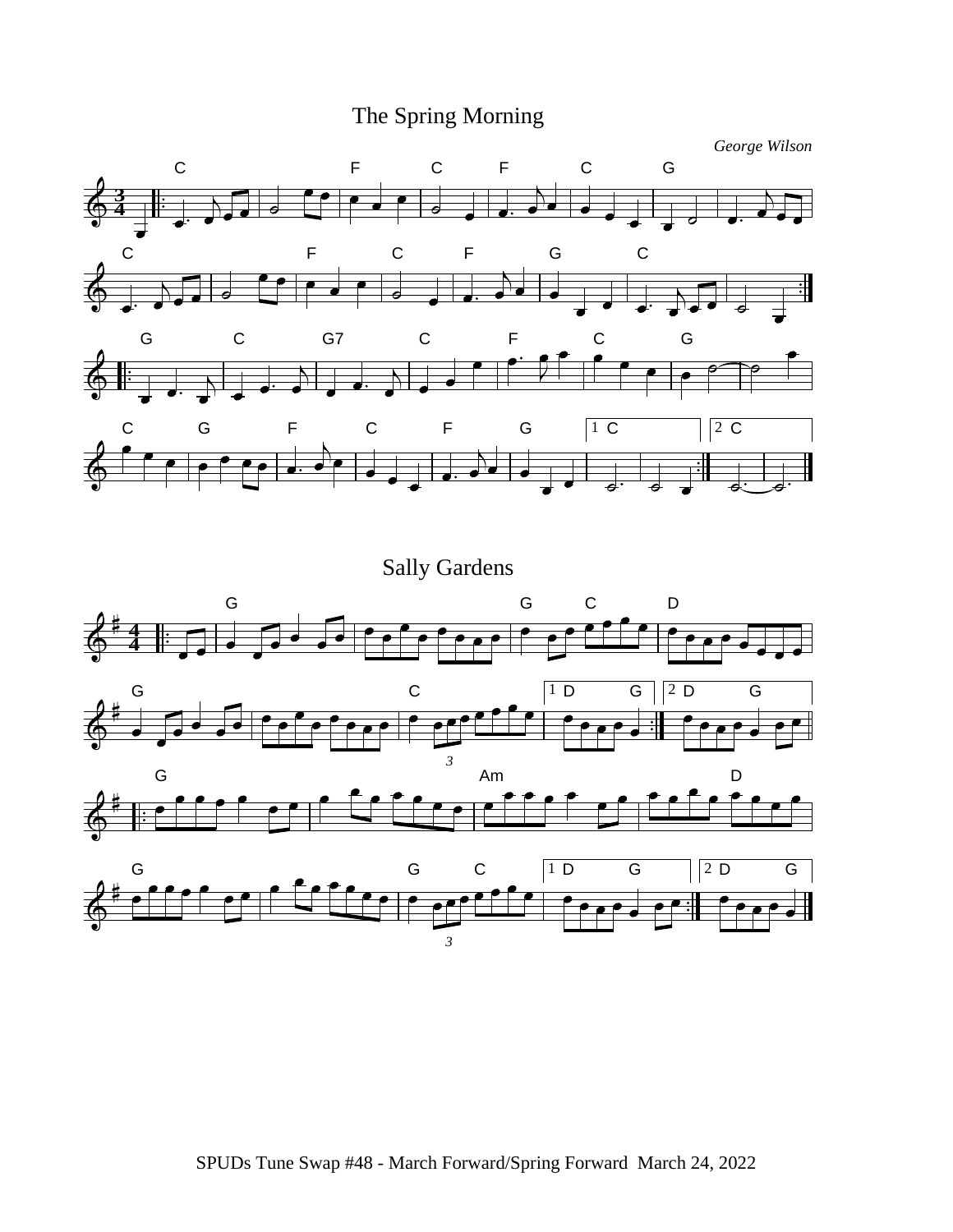## The Spring Morning



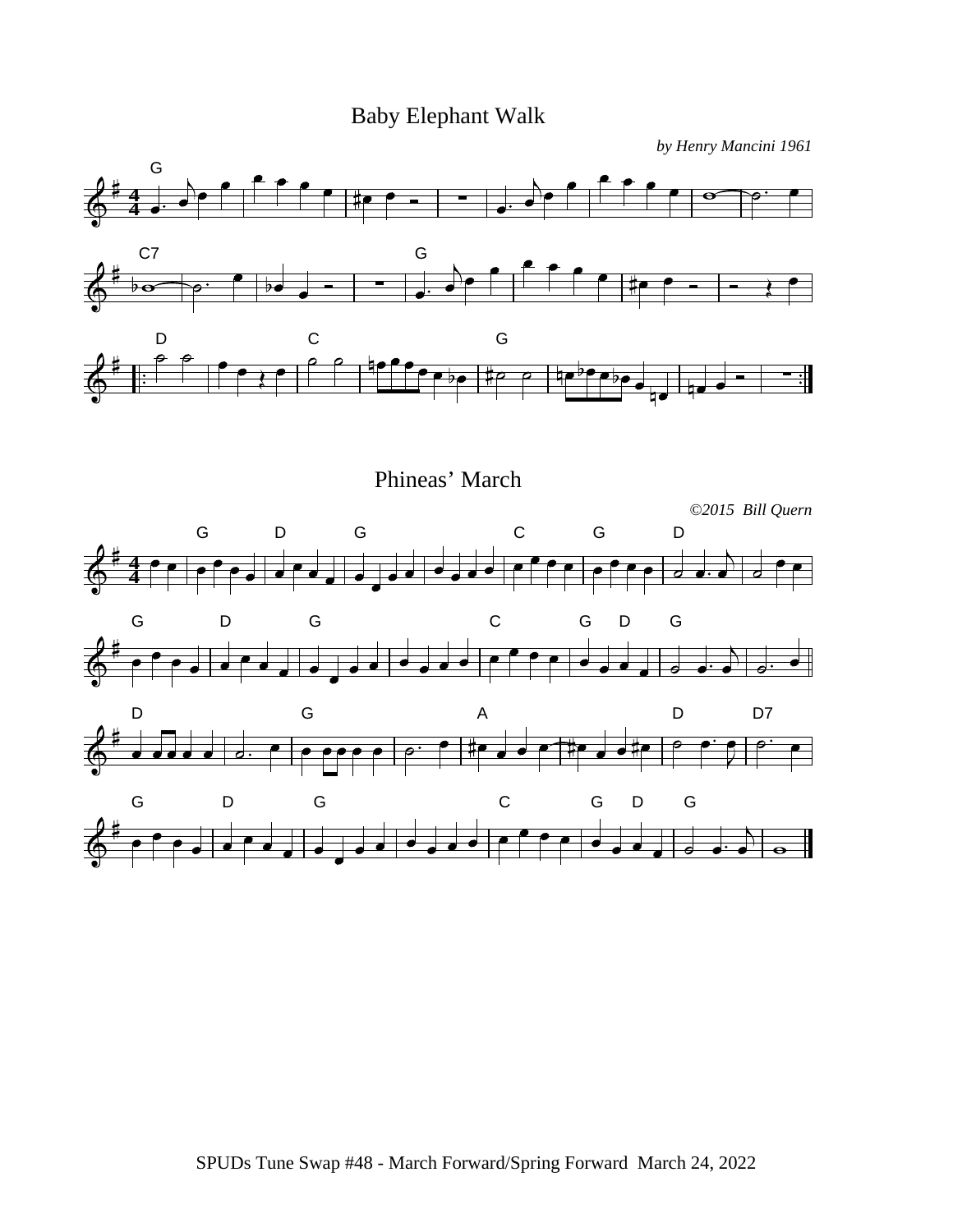Baby Elephant Walk

*by Henry Mancini 1961*



Phineas' March

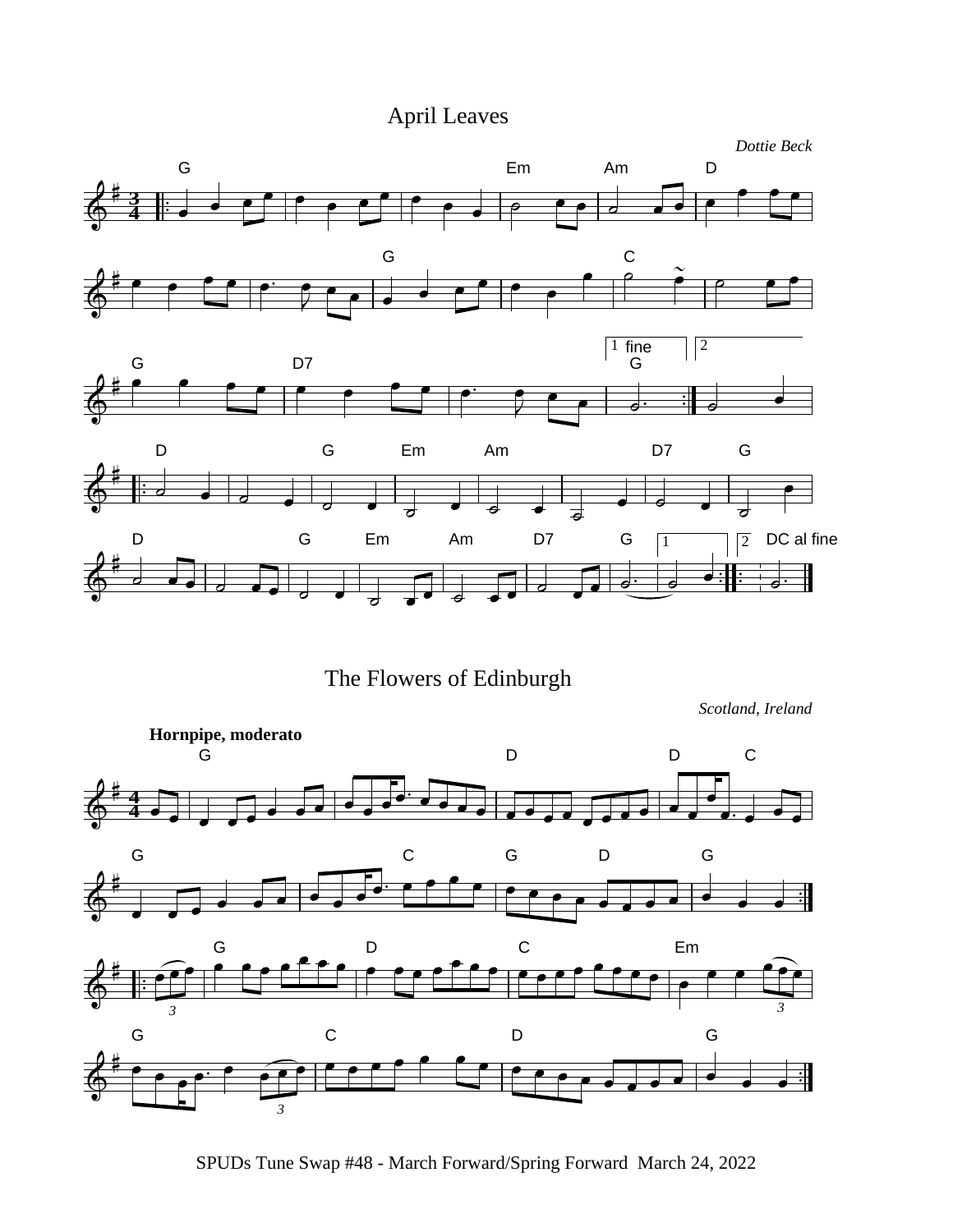## April Leaves



The Flowers of Edinburgh

*Scotland, Ireland*



SPUDs Tune Swap #48 - March Forward/Spring Forward March 24, 2022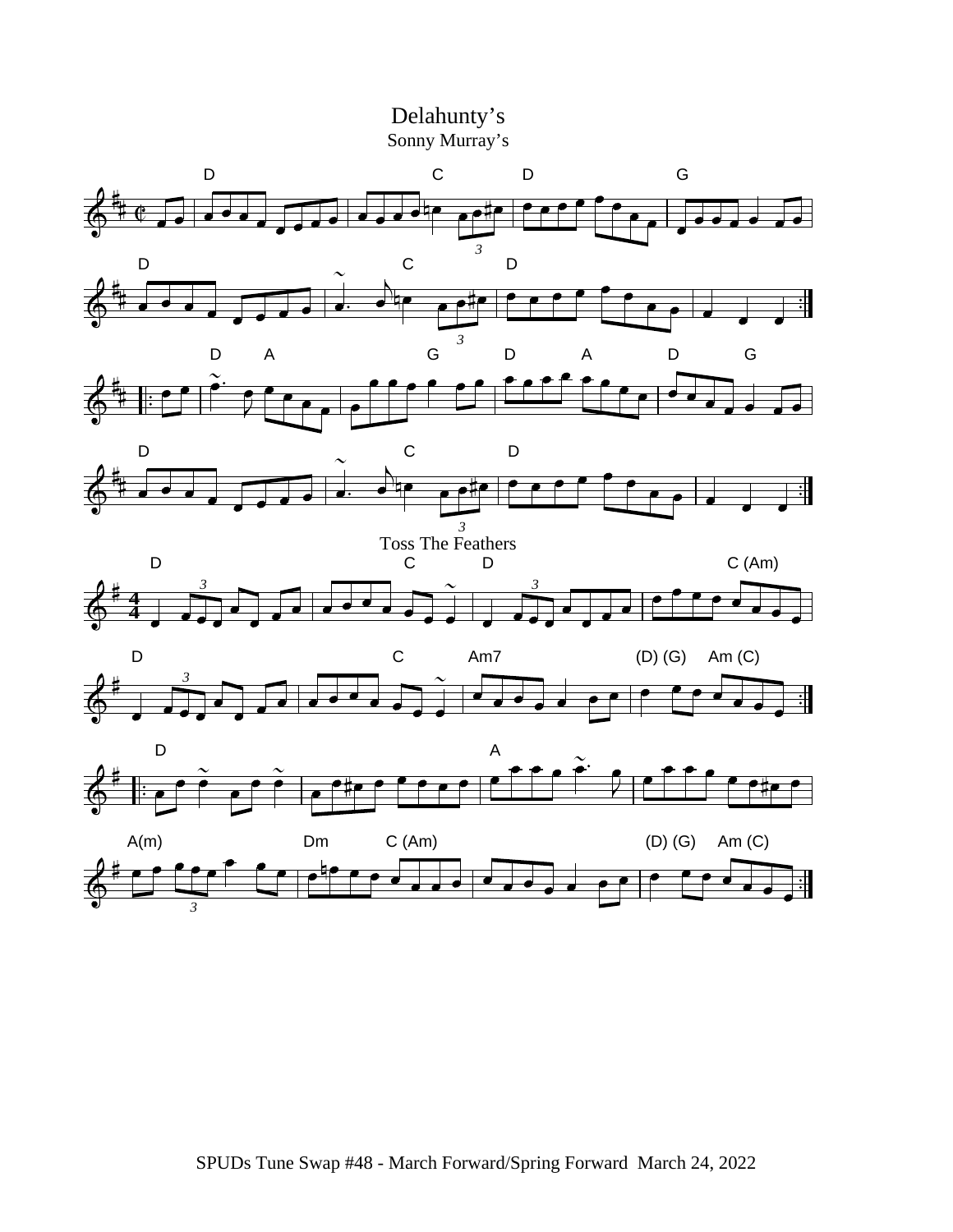

SPUDs Tune Swap #48 - March Forward/Spring Forward March 24, 2022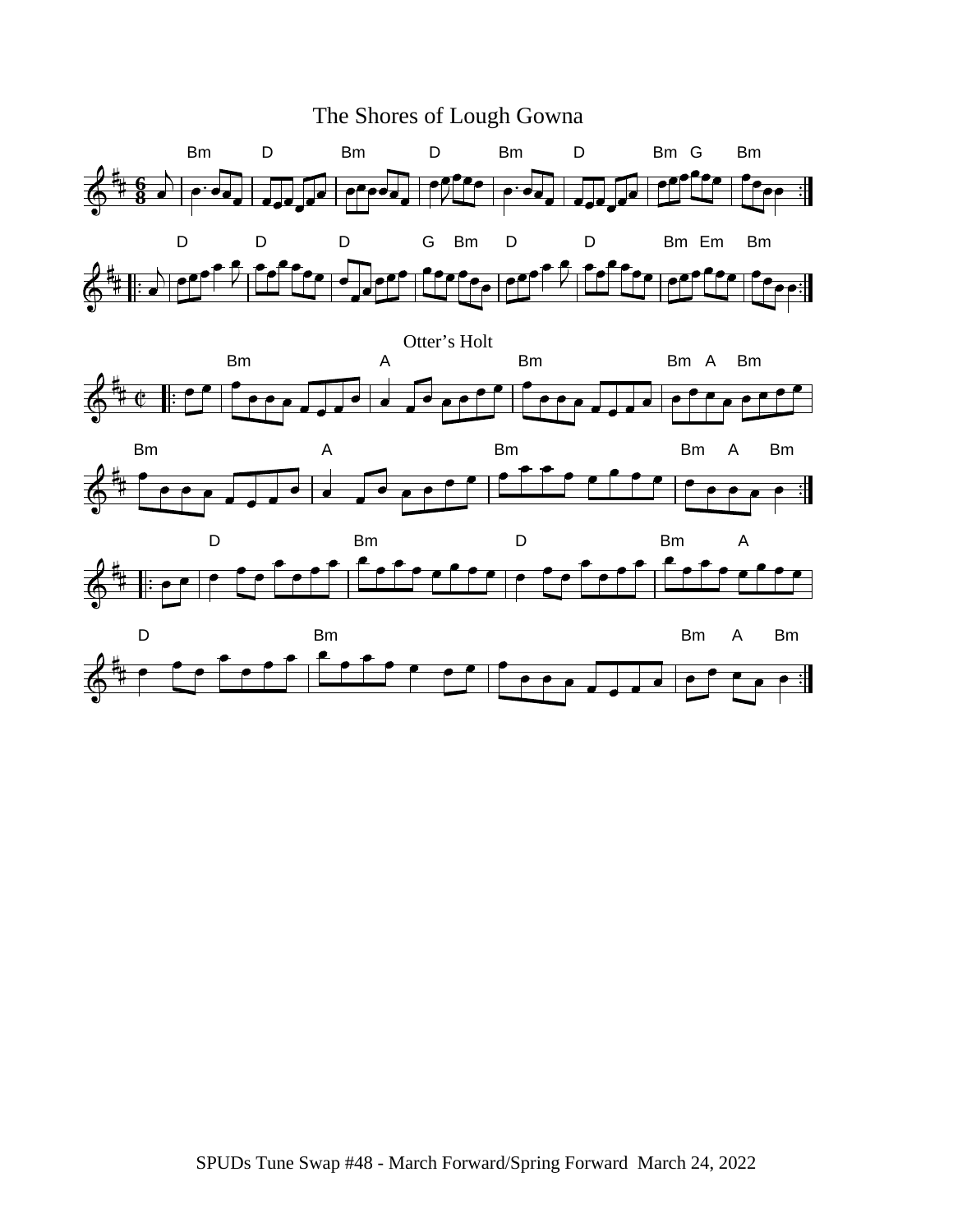







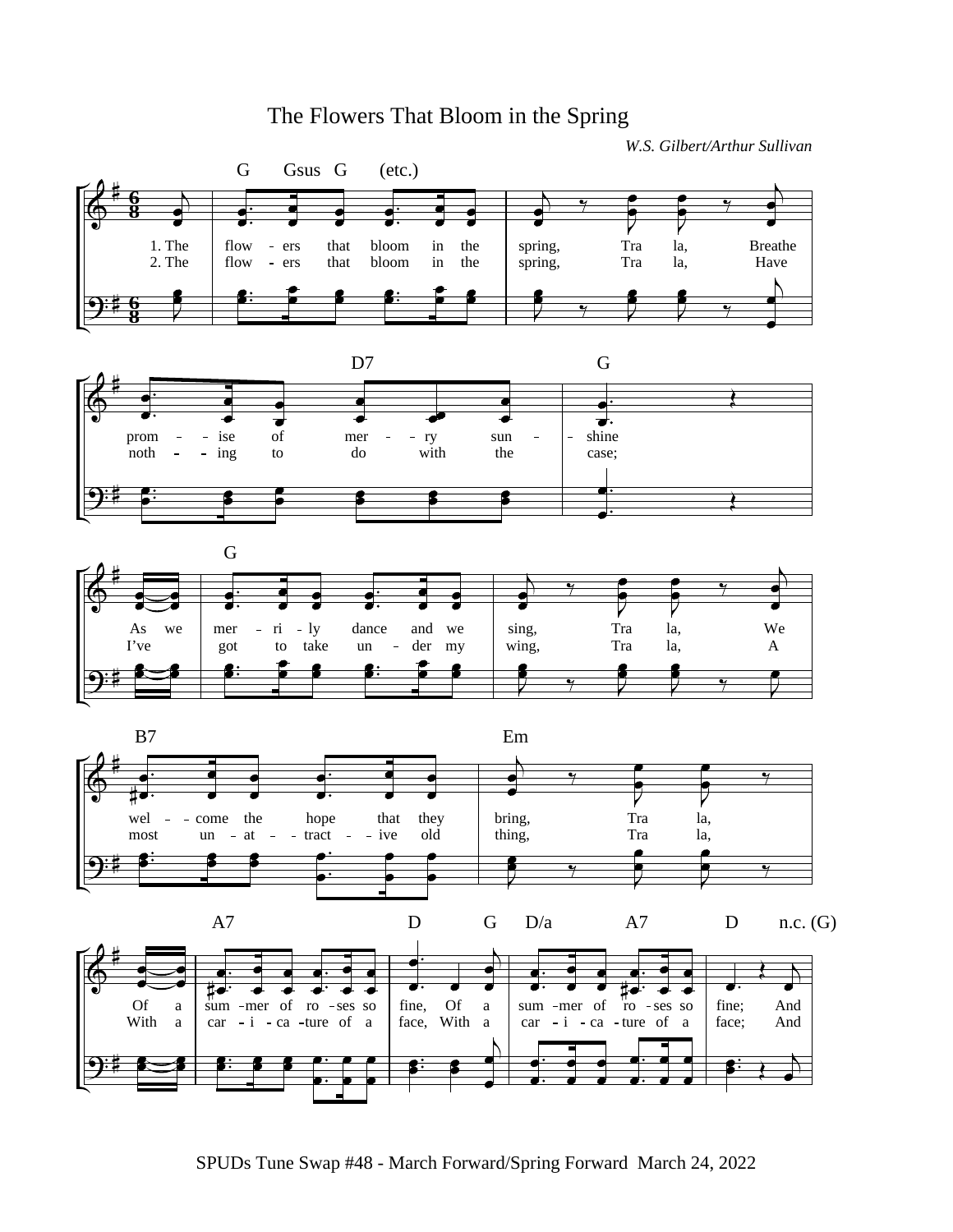## The Flowers That Bloom in the Spring

*W.S. Gilbert/Arthur Sullivan*